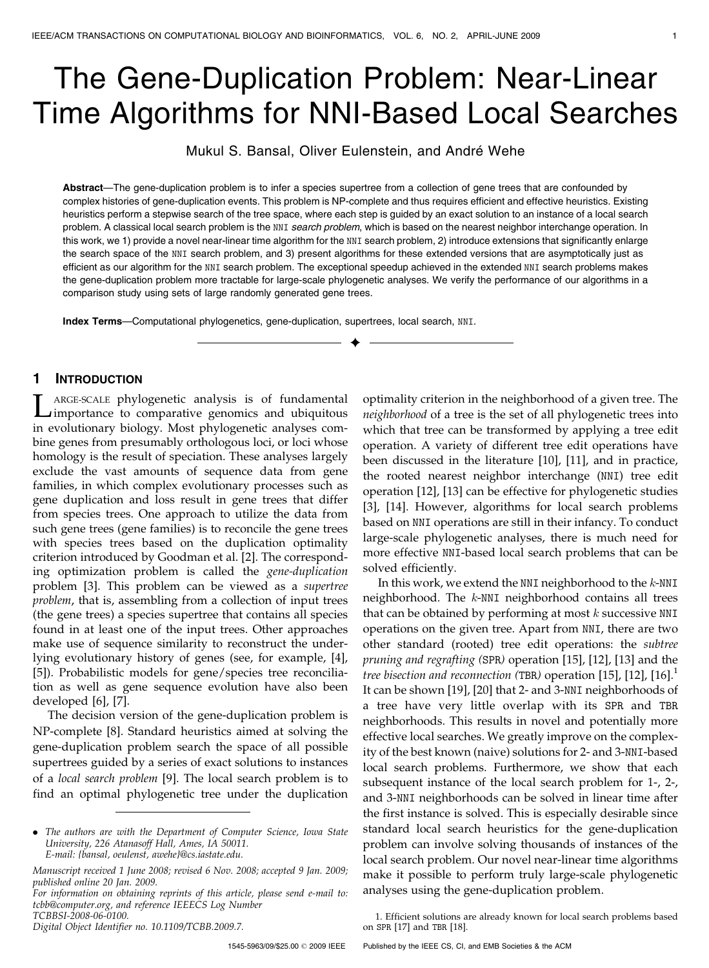# The Gene-Duplication Problem: Near-Linear Time Algorithms for NNI-Based Local Searches

Mukul S. Bansal, Oliver Eulenstein, and André Wehe

Abstract—The gene-duplication problem is to infer a species supertree from a collection of gene trees that are confounded by complex histories of gene-duplication events. This problem is NP-complete and thus requires efficient and effective heuristics. Existing heuristics perform a stepwise search of the tree space, where each step is guided by an exact solution to an instance of a local search problem. A classical local search problem is the NNI search problem, which is based on the nearest neighbor interchange operation. In this work, we 1) provide a novel near-linear time algorithm for the NNI search problem, 2) introduce extensions that significantly enlarge the search space of the NNI search problem, and 3) present algorithms for these extended versions that are asymptotically just as efficient as our algorithm for the NNI search problem. The exceptional speedup achieved in the extended NNI search problems makes the gene-duplication problem more tractable for large-scale phylogenetic analyses. We verify the performance of our algorithms in a comparison study using sets of large randomly generated gene trees.

 $\blacklozenge$ 

Index Terms—Computational phylogenetics, gene-duplication, supertrees, local search, NNI.

# 1 INTRODUCTION

LARGE-SCALE phylogenetic analysis is of fundamental<br>importance to comparative genomics and ubiquitous<br>in analytical phylogenetic phylogenetic contracts in evolutionary biology. Most phylogenetic analyses combine genes from presumably orthologous loci, or loci whose homology is the result of speciation. These analyses largely exclude the vast amounts of sequence data from gene families, in which complex evolutionary processes such as gene duplication and loss result in gene trees that differ from species trees. One approach to utilize the data from such gene trees (gene families) is to reconcile the gene trees with species trees based on the duplication optimality criterion introduced by Goodman et al. [2]. The corresponding optimization problem is called the gene-duplication problem [3]. This problem can be viewed as a supertree problem, that is, assembling from a collection of input trees (the gene trees) a species supertree that contains all species found in at least one of the input trees. Other approaches make use of sequence similarity to reconstruct the underlying evolutionary history of genes (see, for example, [4], [5]). Probabilistic models for gene/species tree reconciliation as well as gene sequence evolution have also been developed [6], [7].

The decision version of the gene-duplication problem is NP-complete [8]. Standard heuristics aimed at solving the gene-duplication problem search the space of all possible supertrees guided by a series of exact solutions to instances of a local search problem [9]. The local search problem is to find an optimal phylogenetic tree under the duplication

For information on obtaining reprints of this article, please send e-mail to: tcbb@computer.org, and reference IEEECS Log Number

TCBBSI-2008-06-0100.

Digital Object Identifier no. 10.1109/TCBB.2009.7.

optimality criterion in the neighborhood of a given tree. The neighborhood of a tree is the set of all phylogenetic trees into which that tree can be transformed by applying a tree edit operation. A variety of different tree edit operations have been discussed in the literature [10], [11], and in practice, the rooted nearest neighbor interchange (NNI) tree edit operation [12], [13] can be effective for phylogenetic studies [3], [14]. However, algorithms for local search problems based on NNI operations are still in their infancy. To conduct large-scale phylogenetic analyses, there is much need for more effective NNI-based local search problems that can be solved efficiently.

In this work, we extend the NNI neighborhood to the  $k$ -NNI neighborhood. The k-NNI neighborhood contains all trees that can be obtained by performing at most  $k$  successive NNI operations on the given tree. Apart from NNI, there are two other standard (rooted) tree edit operations: the subtree pruning and regrafting (SPR) operation [15], [12], [13] and the tree bisection and reconnection (TBR) operation [15], [12], [16].<sup>1</sup> It can be shown [19], [20] that 2- and 3-NNI neighborhoods of a tree have very little overlap with its SPR and TBR neighborhoods. This results in novel and potentially more effective local searches. We greatly improve on the complexity of the best known (naive) solutions for 2- and 3-NNI-based local search problems. Furthermore, we show that each subsequent instance of the local search problem for 1-, 2-, and 3-NNI neighborhoods can be solved in linear time after the first instance is solved. This is especially desirable since standard local search heuristics for the gene-duplication problem can involve solving thousands of instances of the local search problem. Our novel near-linear time algorithms make it possible to perform truly large-scale phylogenetic analyses using the gene-duplication problem.

1. Efficient solutions are already known for local search problems based on SPR [17] and TBR [18].

1545-5963/09/\$25.00 © 2009 IEEE

<sup>.</sup> The authors are with the Department of Computer Science, Iowa State University, 226 Atanasoff Hall, Ames, IA 50011. E-mail: {bansal, oeulenst, awehe}@cs.iastate.edu.

Manuscript received 1 June 2008; revised 6 Nov. 2008; accepted 9 Jan. 2009; published online 20 Jan. 2009.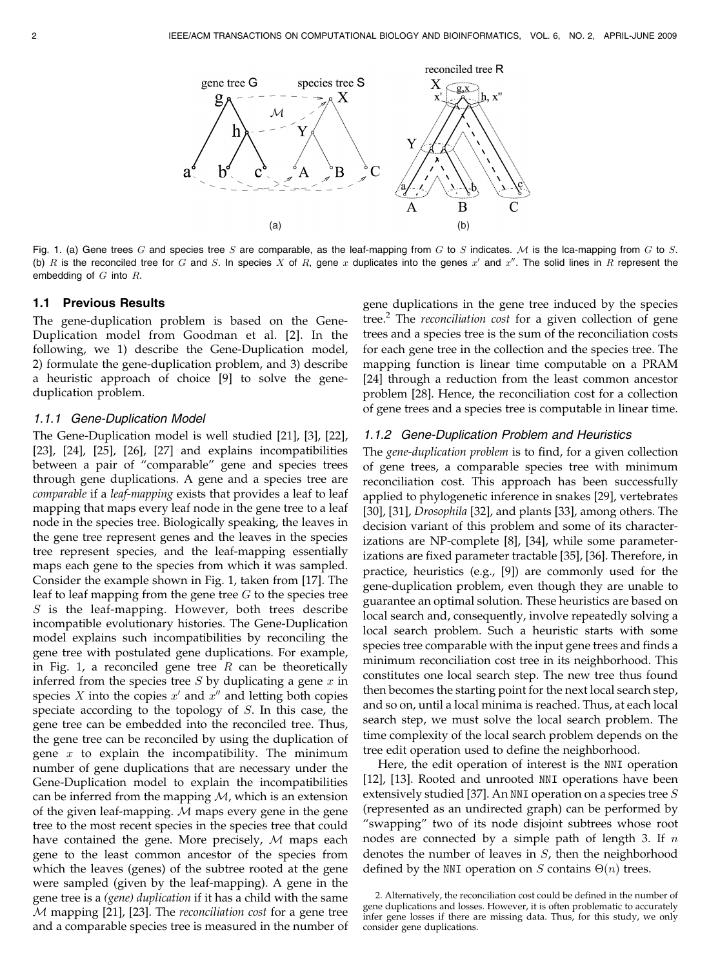

Fig. 1. (a) Gene trees G and species tree S are comparable, as the leaf-mapping from G to S indicates. M is the lca-mapping from G to S. (b) R is the reconciled tree for G and S. In species X of R, gene x duplicates into the genes  $x'$  and  $x''$ . The solid lines in R represent the embedding of  $G$  into  $R$ .

#### 1.1 Previous Results

The gene-duplication problem is based on the Gene-Duplication model from Goodman et al. [2]. In the following, we 1) describe the Gene-Duplication model, 2) formulate the gene-duplication problem, and 3) describe a heuristic approach of choice [9] to solve the geneduplication problem.

#### 1.1.1 Gene-Duplication Model

The Gene-Duplication model is well studied [21], [3], [22], [23], [24], [25], [26], [27] and explains incompatibilities between a pair of "comparable" gene and species trees through gene duplications. A gene and a species tree are comparable if a leaf-mapping exists that provides a leaf to leaf mapping that maps every leaf node in the gene tree to a leaf node in the species tree. Biologically speaking, the leaves in the gene tree represent genes and the leaves in the species tree represent species, and the leaf-mapping essentially maps each gene to the species from which it was sampled. Consider the example shown in Fig. 1, taken from [17]. The leaf to leaf mapping from the gene tree  $G$  to the species tree S is the leaf-mapping. However, both trees describe incompatible evolutionary histories. The Gene-Duplication model explains such incompatibilities by reconciling the gene tree with postulated gene duplications. For example, in Fig. 1, a reconciled gene tree  $R$  can be theoretically inferred from the species tree  $S$  by duplicating a gene  $x$  in species  $X$  into the copies  $x'$  and  $x''$  and letting both copies speciate according to the topology of S. In this case, the gene tree can be embedded into the reconciled tree. Thus, the gene tree can be reconciled by using the duplication of gene  $x$  to explain the incompatibility. The minimum number of gene duplications that are necessary under the Gene-Duplication model to explain the incompatibilities can be inferred from the mapping  $M$ , which is an extension of the given leaf-mapping.  $M$  maps every gene in the gene tree to the most recent species in the species tree that could have contained the gene. More precisely, M maps each gene to the least common ancestor of the species from which the leaves (genes) of the subtree rooted at the gene were sampled (given by the leaf-mapping). A gene in the gene tree is a (gene) duplication if it has a child with the same M mapping [21], [23]. The reconciliation cost for a gene tree and a comparable species tree is measured in the number of gene duplications in the gene tree induced by the species tree.<sup>2</sup> The *reconciliation cost* for a given collection of gene trees and a species tree is the sum of the reconciliation costs for each gene tree in the collection and the species tree. The mapping function is linear time computable on a PRAM [24] through a reduction from the least common ancestor problem [28]. Hence, the reconciliation cost for a collection of gene trees and a species tree is computable in linear time.

#### 1.1.2 Gene-Duplication Problem and Heuristics

The gene-duplication problem is to find, for a given collection of gene trees, a comparable species tree with minimum reconciliation cost. This approach has been successfully applied to phylogenetic inference in snakes [29], vertebrates [30], [31], Drosophila [32], and plants [33], among others. The decision variant of this problem and some of its characterizations are NP-complete [8], [34], while some parameterizations are fixed parameter tractable [35], [36]. Therefore, in practice, heuristics (e.g., [9]) are commonly used for the gene-duplication problem, even though they are unable to guarantee an optimal solution. These heuristics are based on local search and, consequently, involve repeatedly solving a local search problem. Such a heuristic starts with some species tree comparable with the input gene trees and finds a minimum reconciliation cost tree in its neighborhood. This constitutes one local search step. The new tree thus found then becomes the starting point for the next local search step, and so on, until a local minima is reached. Thus, at each local search step, we must solve the local search problem. The time complexity of the local search problem depends on the tree edit operation used to define the neighborhood.

Here, the edit operation of interest is the NNI operation [12], [13]. Rooted and unrooted NNI operations have been extensively studied [37]. An NNI operation on a species tree  $S$ (represented as an undirected graph) can be performed by "swapping" two of its node disjoint subtrees whose root nodes are connected by a simple path of length 3. If  $n$ denotes the number of leaves in  $S$ , then the neighborhood defined by the NNI operation on S contains  $\Theta(n)$  trees.

<sup>2.</sup> Alternatively, the reconciliation cost could be defined in the number of gene duplications and losses. However, it is often problematic to accurately infer gene losses if there are missing data. Thus, for this study, we only consider gene duplications.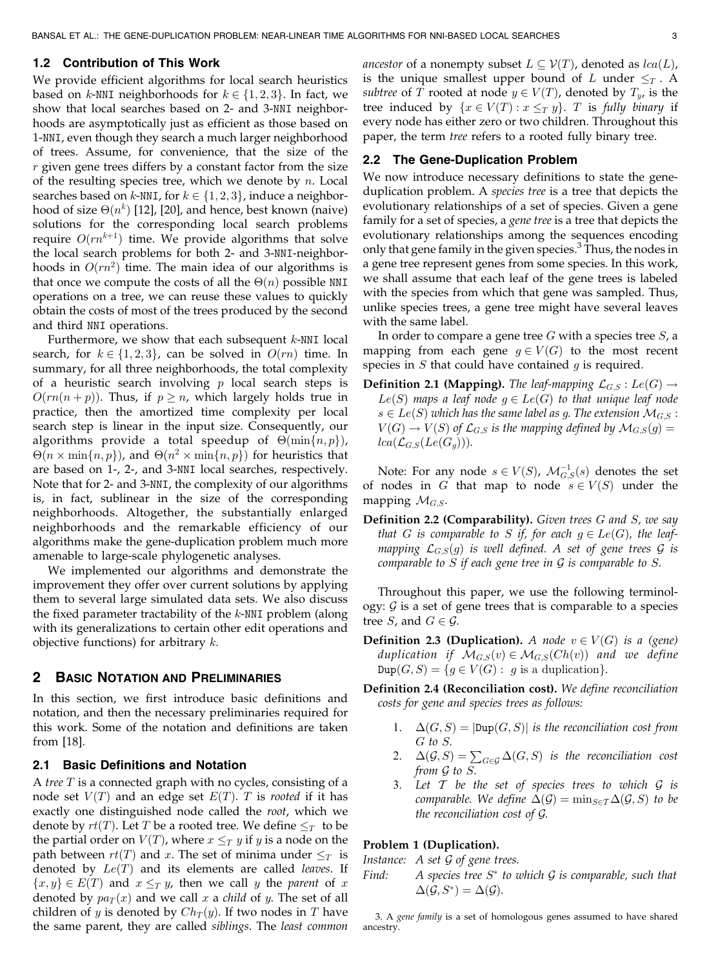## 1.2 Contribution of This Work

We provide efficient algorithms for local search heuristics based on k-NNI neighborhoods for  $k \in \{1, 2, 3\}$ . In fact, we show that local searches based on 2- and 3-NNI neighborhoods are asymptotically just as efficient as those based on 1-NNI, even though they search a much larger neighborhood of trees. Assume, for convenience, that the size of the  $r$  given gene trees differs by a constant factor from the size of the resulting species tree, which we denote by  $n$ . Local searches based on k-NNI, for  $k \in \{1, 2, 3\}$ , induce a neighborhood of size  $\Theta(n^k)$  [12], [20], and hence, best known (naive) solutions for the corresponding local search problems require  $O(rn^{k+1})$  time. We provide algorithms that solve the local search problems for both 2- and 3-NNI-neighborhoods in  $O(rn^2)$  time. The main idea of our algorithms is that once we compute the costs of all the  $\Theta(n)$  possible <code>NNI</code> operations on a tree, we can reuse these values to quickly obtain the costs of most of the trees produced by the second and third NNI operations.

Furthermore, we show that each subsequent  $k$ -NNI local search, for  $k \in \{1, 2, 3\}$ , can be solved in  $O(rn)$  time. In summary, for all three neighborhoods, the total complexity of a heuristic search involving  $p$  local search steps is  $O(rn(n+p))$ . Thus, if  $p \geq n$ , which largely holds true in practice, then the amortized time complexity per local search step is linear in the input size. Consequently, our algorithms provide a total speedup of  $\Theta(\min\{n, p\}),$  $\Theta(n \times \min\{n, p\})$ , and  $\Theta(n^2 \times \min\{n, p\})$  for heuristics that are based on 1-, 2-, and 3-NNI local searches, respectively. Note that for 2- and 3-NNI, the complexity of our algorithms is, in fact, sublinear in the size of the corresponding neighborhoods. Altogether, the substantially enlarged neighborhoods and the remarkable efficiency of our algorithms make the gene-duplication problem much more amenable to large-scale phylogenetic analyses.

We implemented our algorithms and demonstrate the improvement they offer over current solutions by applying them to several large simulated data sets. We also discuss the fixed parameter tractability of the  $k$ -NNI problem (along with its generalizations to certain other edit operations and objective functions) for arbitrary  $k$ .

#### 2 BASIC NOTATION AND PRELIMINARIES

In this section, we first introduce basic definitions and notation, and then the necessary preliminaries required for this work. Some of the notation and definitions are taken from [18].

## 2.1 Basic Definitions and Notation

A tree  $T$  is a connected graph with no cycles, consisting of a node set  $V(T)$  and an edge set  $E(T)$ . T is rooted if it has exactly one distinguished node called the root, which we denote by  $rt(T)$ . Let T be a rooted tree. We define  $\leq_T$  to be the partial order on  $V(T)$ , where  $x \leq_T y$  if y is a node on the path between  $rt(T)$  and x. The set of minima under  $\leq_T$  is denoted by  $Le(T)$  and its elements are called leaves. If  ${x, y} \in E(T)$  and  $x \leq_T y$ , then we call y the parent of x denoted by  $pa_T(x)$  and we call x a child of y. The set of all children of y is denoted by  $Ch_T(y)$ . If two nodes in T have the same parent, they are called siblings. The least common *ancestor* of a nonempty subset  $L \subseteq V(T)$ , denoted as  $lca(L)$ , is the unique smallest upper bound of L under  $\leq_T$ . A *subtree* of T rooted at node  $y \in V(T)$ , denoted by  $T_y$ , is the tree induced by  $\{x \in V(T) : x \leq_T y\}$ . T is fully binary if every node has either zero or two children. Throughout this paper, the term tree refers to a rooted fully binary tree.

#### 2.2 The Gene-Duplication Problem

We now introduce necessary definitions to state the geneduplication problem. A species tree is a tree that depicts the evolutionary relationships of a set of species. Given a gene family for a set of species, a gene tree is a tree that depicts the evolutionary relationships among the sequences encoding only that gene family in the given species.<sup>3</sup> Thus, the nodes in a gene tree represent genes from some species. In this work, we shall assume that each leaf of the gene trees is labeled with the species from which that gene was sampled. Thus, unlike species trees, a gene tree might have several leaves with the same label.

In order to compare a gene tree  $G$  with a species tree  $S$ , a mapping from each gene  $g \in V(G)$  to the most recent species in  $S$  that could have contained  $q$  is required.

**Definition 2.1 (Mapping).** The leaf-mapping  $\mathcal{L}_{G,S}$  :  $Le(G) \rightarrow$  $Le(S)$  maps a leaf node  $g \in Le(G)$  to that unique leaf node  $s \in Le(S)$  which has the same label as g. The extension  $\mathcal{M}_{G,S}$ :  $V(G) \to V(S)$  of  $\mathcal{L}_{G,S}$  is the mapping defined by  $\mathcal{M}_{G,S}(g) =$  $lca(\mathcal{L}_{G,S}(Le(G_q)))$ .

Note: For any node  $s \in V(S)$ ,  $\mathcal{M}_{G,S}^{-1}(s)$  denotes the set of nodes in G that map to node  $s \in V(S)$  under the mapping  $\mathcal{M}_{G,S}$ .

**Definition 2.2 (Comparability).** Given trees  $G$  and  $S$ , we say that G is comparable to S if, for each  $g \in Le(G)$ , the leafmapping  $\mathcal{L}_{G,S}(g)$  is well defined. A set of gene trees  $\mathcal G$  is comparable to  $S$  if each gene tree in  $G$  is comparable to  $S$ .

Throughout this paper, we use the following terminology:  $G$  is a set of gene trees that is comparable to a species tree *S*, and  $G \in \mathcal{G}$ .

**Definition 2.3 (Duplication).** A node  $v \in V(G)$  is a (gene) duplication if  $\mathcal{M}_{G,S}(v) \in \mathcal{M}_{G,S}(Ch(v))$  and we define  $\text{Dup}(G, S) = \{ g \in V(G) : g \text{ is a duplication} \}.$ 

Definition 2.4 (Reconciliation cost). We define reconciliation costs for gene and species trees as follows:

- 1.  $\Delta(G, S) = |\text{Sup}(G, S)|$  is the reconciliation cost from G to S.
- 2.  $\Delta(\mathcal{G}, S) = \sum_{G \in \mathcal{G}} \Delta(G, S)$  is the reconciliation cost from G to S.
- 3. Let  $T$  be the set of species trees to which  $G$  is comparable. We define  $\Delta(\mathcal{G}) = \min_{S \in \mathcal{I}} \Delta(\mathcal{G}, S)$  to be the reconciliation cost of G.

#### Problem 1 (Duplication).

Instance:  $A$  set  $G$  of gene trees.

Find: A species tree  $S^*$  to which  $G$  is comparable, such that  $\Delta(\mathcal{G}, S^*) = \Delta(\mathcal{G}).$ 

3. A gene family is a set of homologous genes assumed to have shared ancestry.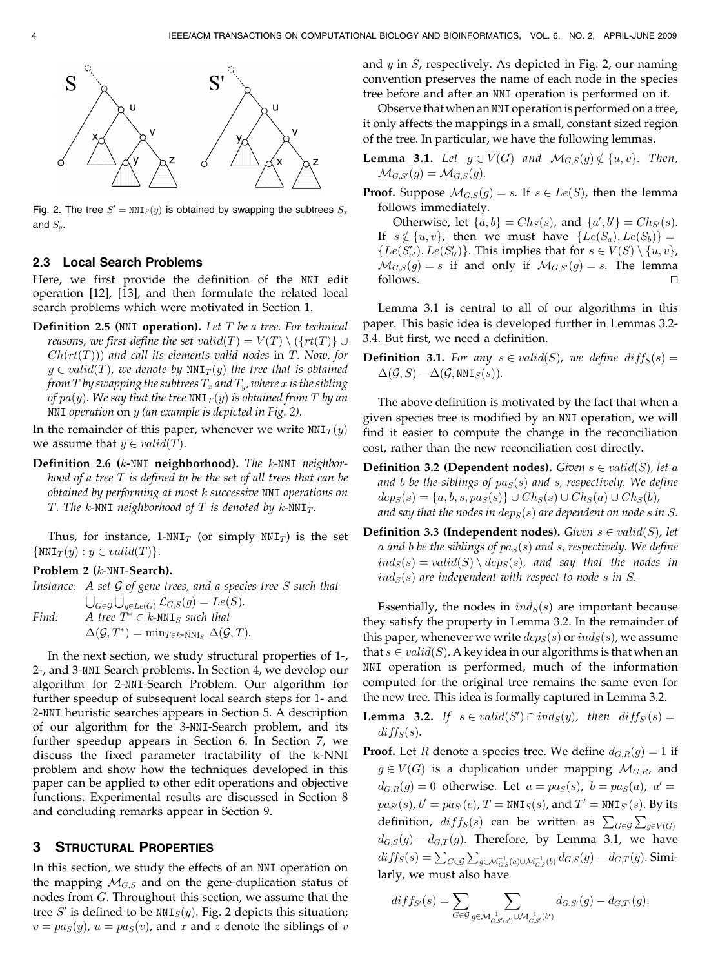

Fig. 2. The tree  $S' = \text{NNI}_S(y)$  is obtained by swapping the subtrees  $S_x$ and  $S_u$ .

#### 2.3 Local Search Problems

Here, we first provide the definition of the NNI edit operation [12], [13], and then formulate the related local search problems which were motivated in Section 1.

**Definition 2.5 (NNI operation).** Let  $T$  be a tree. For technical reasons, we first define the set valid $(T) = V(T) \setminus (\{rt(T)\} \cup$  $Ch(rt(T))$  and call its elements valid nodes in T. Now, for  $y \in valid(T)$ , we denote by  $NNI_T(y)$  the tree that is obtained from T by swapping the subtrees  $T_x$  and  $T_y$ , where x is the sibling of  $pa(y)$ . We say that the tree NNI $_T(y)$  is obtained from T by an NNI operation on y (an example is depicted in Fig. 2).

In the remainder of this paper, whenever we write  $NNI_T(y)$ we assume that  $y \in valid(T)$ .

Definition 2.6 (k-NNI neighborhood). The k-NNI neighborhood of a tree  $T$  is defined to be the set of all trees that can be obtained by performing at most k successive NNI operations on T. The k-NNI neighborhood of T is denoted by  $k$ -NNI<sub>T</sub>.

Thus, for instance, 1-NNI<sub>T</sub> (or simply NNI<sub>T</sub>) is the set  $\{NNI_T(y): y \in valid(T)\}.$ 

#### Problem 2 (k-NNI-Search).

Instance: A set G of gene trees, and a species tree S such that

 $\bigcup_{G\in\mathcal{G}}\bigcup_{g\in Le(G)}\mathcal{L}_{G,S}(g)=Le(S).$ Find: A tree  $\tilde{T}^* \in k$ -NNI<sub>S</sub> such that  $\Delta(\mathcal{G}, T^*) = \min_{T \in k\text{-NNI}_S} \Delta(\mathcal{G}, T).$ 

In the next section, we study structural properties of 1-, 2-, and 3-NNI Search problems. In Section 4, we develop our algorithm for 2-NNI-Search Problem. Our algorithm for further speedup of subsequent local search steps for 1- and 2-NNI heuristic searches appears in Section 5. A description of our algorithm for the 3-NNI-Search problem, and its further speedup appears in Section 6. In Section 7, we discuss the fixed parameter tractability of the k-NNI problem and show how the techniques developed in this paper can be applied to other edit operations and objective functions. Experimental results are discussed in Section 8 and concluding remarks appear in Section 9.

#### 3 STRUCTURAL PROPERTIES

In this section, we study the effects of an NNI operation on the mapping  $M_{G,S}$  and on the gene-duplication status of nodes from G. Throughout this section, we assume that the tree S' is defined to be  $NNI<sub>S</sub>(y)$ . Fig. 2 depicts this situation;  $v = pa<sub>S</sub>(y)$ ,  $u = pa<sub>S</sub>(v)$ , and x and z denote the siblings of v and  $y$  in  $S$ , respectively. As depicted in Fig. 2, our naming convention preserves the name of each node in the species tree before and after an NNI operation is performed on it.

Observe that when an NNI operation is performed on a tree, it only affects the mappings in a small, constant sized region of the tree. In particular, we have the following lemmas.

**Lemma 3.1.** Let  $g \in V(G)$  and  $\mathcal{M}_{G,S}(g) \notin \{u, v\}$ . Then,  $\mathcal{M}_{G,S'}(g) = \mathcal{M}_{G,S}(g).$ 

**Proof.** Suppose  $\mathcal{M}_{G,S}(g) = s$ . If  $s \in Le(S)$ , then the lemma follows immediately.

Otherwise, let  $\{a, b\} = Ch_S(s)$ , and  $\{a', b'\} = Ch_{S'}(s)$ . If  $s \notin \{u, v\}$ , then we must have  $\{Le(S_a), Le(S_b)\} =$  $\{Le(S'_{a'}) , Le(S'_{b'})\}$ . This implies that for  $s \in V(S) \setminus \{u, v\}$ ,  $\mathcal{M}_{G,S}(g) = s$  if and only if  $\mathcal{M}_{G,S'}(g) = s$ . The lemma follows.  $\Box$ 

Lemma 3.1 is central to all of our algorithms in this paper. This basic idea is developed further in Lemmas 3.2- 3.4. But first, we need a definition.

**Definition 3.1.** For any  $s \in valid(S)$ , we define diff<sub>S</sub> $(s)$  =  $\Delta(\mathcal{G}, S) - \Delta(\mathcal{G}, \text{NNI}_S(s)).$ 

The above definition is motivated by the fact that when a given species tree is modified by an NNI operation, we will find it easier to compute the change in the reconciliation cost, rather than the new reconciliation cost directly.

- **Definition 3.2 (Dependent nodes).** Given  $s \in valid(S)$ , let a and b be the siblings of  $pa_S(s)$  and s, respectively. We define  $dep_S(s) = \{a, b, s, pa_S(s)\} \cup Ch_S(s) \cup Ch_S(a) \cup Ch_S(b),$ and say that the nodes in  $dep_S(s)$  are dependent on node s in S.
- **Definition 3.3 (Independent nodes).** Given  $s \in valid(S)$ , let a and b be the siblings of  $pa<sub>S</sub>(s)$  and s, respectively. We define  $ind_S(s) = valid(S) \setminus dep_S(s)$ , and say that the nodes in  $ind_S(s)$  are independent with respect to node s in S.

Essentially, the nodes in  $ind_S(s)$  are important because they satisfy the property in Lemma 3.2. In the remainder of this paper, whenever we write  $\text{dep}_S(s)$  or  $\text{ind}_S(s)$ , we assume that  $s \in valid(S)$ . A key idea in our algorithms is that when an NNI operation is performed, much of the information computed for the original tree remains the same even for the new tree. This idea is formally captured in Lemma 3.2.

- **Lemma 3.2.** If  $s \in valid(S') \cap ind_S(y)$ , then  $diff_{S'}(s) =$  $diff_S(s)$ .
- **Proof.** Let R denote a species tree. We define  $d_{G,R}(g) = 1$  if  $g \in V(G)$  is a duplication under mapping  $\mathcal{M}_{G,R}$ , and  $d_{G,R}(g) = 0$  otherwise. Let  $a = pa_S(s)$ ,  $b = pa_S(a)$ ,  $a' =$  $pa_{S}(s)$ ,  $b' = pa_{S'}(c)$ ,  $T = NNI_{S}(s)$ , and  $T' = NNI_{S'}(s)$ . By its definition,  $diff_S(s)$  can be written as  $\sum_{G \in \mathcal{G}} \sum_{g \in V(G)}$  $d_{G,S}(g) - d_{G,T}(g)$ . Therefore, by Lemma 3.1, we have  $diff_S(s) = \sum_{G \in \mathcal{G}} \sum_{g \in \mathcal{M}_{G,S}^{-1}(a) \cup \mathcal{M}_{G,S}^{-1}(b)} d_{G,S}(g) - d_{G,T}(g).$  Similarly, we must also have

$$
diff_{S'}(s) = \sum_{G \in \mathcal{G}} \sum_{g \in \mathcal{M}_{G,S'(d')}^{-1} \cup \mathcal{M}_{G,S'}^{-1}(b')} d_{G,S'}(g) - d_{G,T'}(g).
$$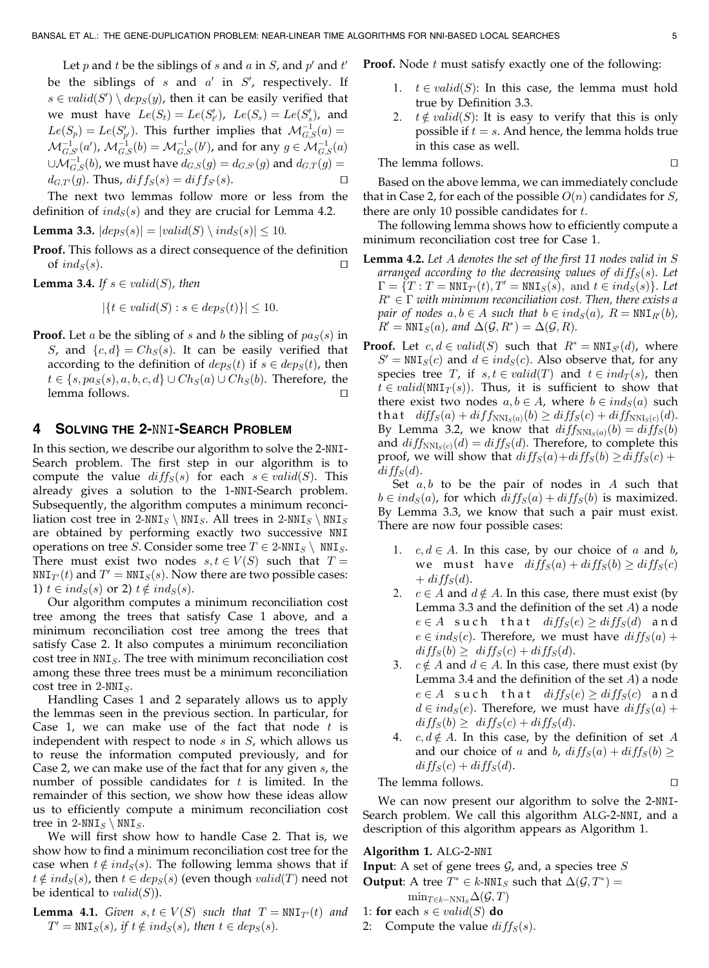Let  $p$  and  $t$  be the siblings of  $s$  and  $a$  in  $S$ , and  $p'$  and  $t'$ be the siblings of  $s$  and  $a'$  in  $S'$ , respectively. If  $s \in valid(S') \setminus dep_S(y)$ , then it can be easily verified that we must have  $Le(S_t) = Le(S'_{t'})$ ,  $Le(S_s) = Le(S'_{s})$ , and  $Le(S_p) = Le(S'_{p'})$ . This further implies that  $\mathcal{M}_{G,S}^{-1}(a) =$  $\mathcal{M}_{G,S'}^{-1}(a'), \, \mathcal{M}_{G,S}^{-1}(b) = \mathcal{M}_{G,S'}^{-1}(b'),$  and for any  $g \in \mathcal{M}_{G,S}^{-1}(a)$  $\cup {\mathcal{M}}_{G,S}^{-1}(b)$ , we must have  $d_{G,S}(g)=d_{G,S'}(g)$  and  $d_{G,T}(g)=0$  $d_{G,T'}(g)$ . Thus,  $diff_S(s) = diff_{S'}(s)$ .

The next two lemmas follow more or less from the definition of  $ind_S(s)$  and they are crucial for Lemma 4.2.

**Lemma 3.3.**  $|deg(s)| = |valid(S) \setminus ind_S(s)| \leq 10$ .

Proof. This follows as a direct consequence of the definition of  $ind_S(s)$ .

**Lemma 3.4.** If  $s \in valid(S)$ , then

$$
|\{t \in valid(S) : s \in dep_S(t)\}| \le 10.
$$

**Proof.** Let a be the sibling of s and b the sibling of  $pa_S(s)$  in S, and  ${c,d} = Ch<sub>S</sub>(s)$ . It can be easily verified that according to the definition of  $\text{dep}_S(t)$  if  $s \in \text{dep}_S(t)$ , then  $t \in \{s, pa_S(s), a, b, c, d\} \cup Ch_S(a) \cup Ch_S(b)$ . Therefore, the  $l$ emma follows.  $\Box$ 

# 4 SOLVING THE 2-NNI-SEARCH PROBLEM

In this section, we describe our algorithm to solve the 2-NNI-Search problem. The first step in our algorithm is to compute the value  $diff_S(s)$  for each  $s \in valid(S)$ . This already gives a solution to the 1-NNI-Search problem. Subsequently, the algorithm computes a minimum reconciliation cost tree in 2-NNI<sub>S</sub> \ NNI<sub>S</sub>. All trees in 2-NNI<sub>S</sub> \ NNI<sub>S</sub> are obtained by performing exactly two successive NNI operations on tree S. Consider some tree  $T \in 2{\text{-}NNI}_S \setminus \text{NNI}_S$ . There must exist two nodes  $s, t \in V(S)$  such that  $T =$  $NNI_{T}(t)$  and  $T' = NNI_{S}(s)$ . Now there are two possible cases: 1)  $t \in ind_S(s)$  or 2)  $t \notin ind_S(s)$ .

Our algorithm computes a minimum reconciliation cost tree among the trees that satisfy Case 1 above, and a minimum reconciliation cost tree among the trees that satisfy Case 2. It also computes a minimum reconciliation  $cost$  tree in  $NNI<sub>S</sub>$ . The tree with minimum reconciliation cost among these three trees must be a minimum reconciliation cost tree in  $2$ -NNI<sub>S</sub>.

Handling Cases 1 and 2 separately allows us to apply the lemmas seen in the previous section. In particular, for Case 1, we can make use of the fact that node  $t$  is independent with respect to node  $s$  in  $S$ , which allows us to reuse the information computed previously, and for Case 2, we can make use of the fact that for any given s, the number of possible candidates for  $t$  is limited. In the remainder of this section, we show how these ideas allow us to efficiently compute a minimum reconciliation cost tree in  $2$ -NNI<sub>S</sub> \ NNI<sub>S</sub>.

We will first show how to handle Case 2. That is, we show how to find a minimum reconciliation cost tree for the case when  $t \notin ind_S(s)$ . The following lemma shows that if  $t \notin ind_S(s)$ , then  $t \in deg_S(s)$  (even though  $valid(T)$  need not be identical to  $valid(S)$ ).

**Lemma 4.1.** Given  $s, t \in V(S)$  such that  $T = \text{NNI}_{T'}(t)$  and  $T' = \text{NNI}_{S}(s)$ , if  $t \notin ind_{S}(s)$ , then  $t \in dep_{S}(s)$ .

**Proof.** Node  $t$  must satisfy exactly one of the following:

- 1.  $t \in valid(S)$ : In this case, the lemma must hold true by Definition 3.3.
- 2.  $t \notin valid(S)$ : It is easy to verify that this is only possible if  $t = s$ . And hence, the lemma holds true in this case as well.

The lemma follows. 
$$
\Box
$$

Based on the above lemma, we can immediately conclude that in Case 2, for each of the possible  $O(n)$  candidates for S, there are only 10 possible candidates for  $t$ .

The following lemma shows how to efficiently compute a minimum reconciliation cost tree for Case 1.

- **Lemma 4.2.** Let  $A$  denotes the set of the first 11 nodes valid in  $S$ arranged according to the decreasing values of  $diff_S(s)$ . Let  $\Gamma = \{T : T = \text{NNI}_{T}(t), T' = \text{NNI}_{S}(s), \text{ and } t \in ind_{S}(s)\}.$  Let  $R^* \in \Gamma$  with minimum reconciliation cost. Then, there exists a pair of nodes  $a, b \in A$  such that  $b \in ind_S(a)$ ,  $R = \text{NNI}_{R'}(b)$ ,  $R' = \text{NNI}_S(a)$ , and  $\Delta(\mathcal{G}, R^*) = \Delta(\mathcal{G}, R)$ .
- **Proof.** Let  $c, d \in valid(S)$  such that  $R^* = \text{NNI}_{S'}(d)$ , where  $S' = NNI<sub>S</sub>(c)$  and  $d \in ind<sub>S</sub>(c)$ . Also observe that, for any species tree T, if  $s, t \in valid(T)$  and  $t \in ind_T(s)$ , then  $t \in valid(NNI<sub>T</sub>(s)).$  Thus, it is sufficient to show that there exist two nodes  $a, b \in A$ , where  $b \in ind_S(a)$  such that  $diff_S(a) + diff_{NNI_S(a)}(b) \ge diff_S(c) + diff_{NNI_S(c)}(d)$ . By Lemma 3.2, we know that  $diff_{NNIs(a)}(b) = diff_S(b)$ and  $diff_{NNIs(c)}(d) = diff_S(d)$ . Therefore, to complete this proof, we will show that  $diff_S(a) + diff_S(b) \ge diff_S(c) +$  $diff_S(d)$ .

Set  $a, b$  to be the pair of nodes in A such that  $b \in ind_S(a)$ , for which  $diff_S(a) + diff_S(b)$  is maximized. By Lemma 3.3, we know that such a pair must exist. There are now four possible cases:

- 1.  $c, d \in A$ . In this case, by our choice of a and b, we must have  $diff_S(a) + diff_S(b) \geq diff_S(c)$  $+$  diff<sub>S</sub> $(d)$ .
- 2.  $c \in A$  and  $d \notin A$ . In this case, there must exist (by Lemma 3.3 and the definition of the set  $A$ ) a node  $e \in A$  such that  $diff_S(e) \geq diff_S(d)$  and  $e \in ind_S(c)$ . Therefore, we must have  $diff_S(a)$  +  $diff_S(b) \geq diff_S(c) + diff_S(d).$
- 3.  $c \notin A$  and  $d \in A$ . In this case, there must exist (by Lemma 3.4 and the definition of the set  $A$ ) a node  $e \in A$  such that  $diff_S(e) \geq diff_S(c)$  and  $d \in ind_S(e)$ . Therefore, we must have  $diff_S(a)$  +  $diff_S(b) \geq diff_S(c) + diff_S(d).$
- 4.  $c, d \notin A$ . In this case, by the definition of set A and our choice of a and b,  $diff_S(a) + diff_S(b) \geq$  $diff_S(c) + diff_S(d)$ .

The lemma follows.  $\Box$ 

We can now present our algorithm to solve the 2-NNI-Search problem. We call this algorithm ALG-2-NNI, and a description of this algorithm appears as Algorithm 1.

#### Algorithm 1. ALG-2-NNI

**Input:** A set of gene trees  $\mathcal{G}$ , and, a species tree S

**Output:** A tree  $T^* \in k$ -NNI<sub>S</sub> such that  $\Delta(\mathcal{G}, T^*) =$  $\min_{T\in k-\text{NNI}_S}\Delta(\mathcal{G},T)$ 

- 1: for each  $s \in valid(S)$  do
- 2: Compute the value  $diff_S(s)$ .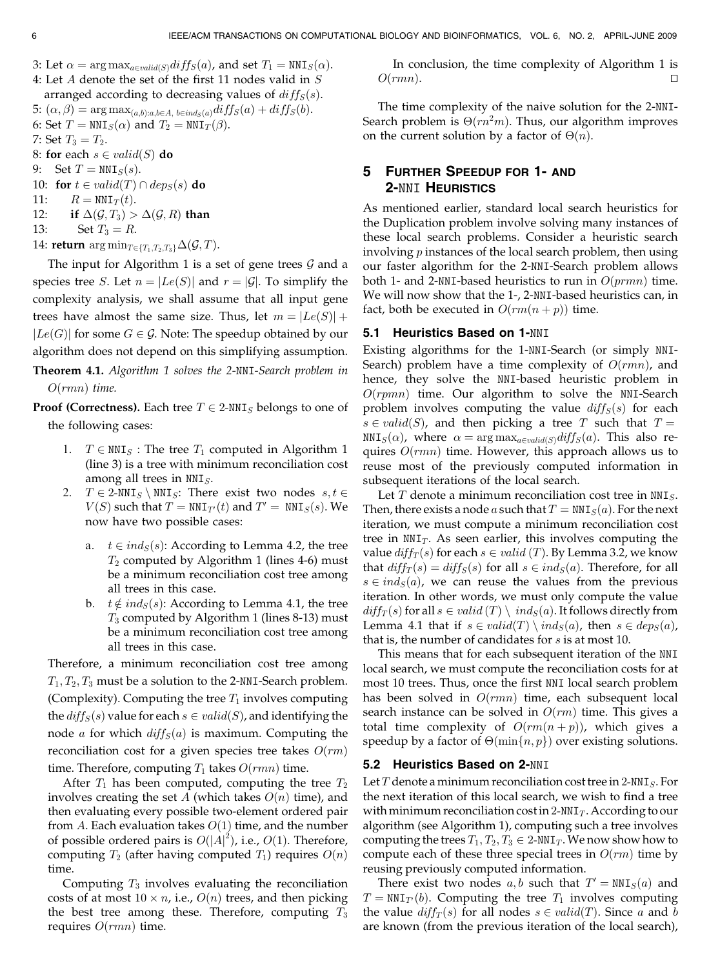- 3: Let  $\alpha = \arg \max_{a \in valid(S)} diff_S(a)$ , and set  $T_1 = \text{NNI}_S(\alpha)$ .
- 4: Let A denote the set of the first 11 nodes valid in S arranged according to decreasing values of  $diff_S(s)$ .
- 5:  $(\alpha, \beta) = \arg \max_{(a,b):a,b \in A, b \in ind_S(a)} diff_S(a) + diff_S(b).$
- 6: Set  $T = \text{NNI}_S(\alpha)$  and  $T_2 = \text{NNI}_T(\beta)$ .
- 7: Set  $T_3 = T_2$ .
- 8: for each  $s \in valid(S)$  do
- 9: Set  $T = NNIs(s)$ .
- 10: for  $t \in valid(T) \cap dep_S(s)$  do
- 11:  $R = \text{NNI}_T(t)$ .<br>12: if  $\Delta(G, T_3)$
- if  $\Delta(G, T_3) > \Delta(G, R)$  than
- 13: Set  $T_3 = R$ .

14: return  $\arg \min_{T \in \{T_1, T_2, T_3\}} \Delta(\mathcal{G}, T)$ .

The input for Algorithm 1 is a set of gene trees  $\mathcal G$  and a species tree *S*. Let  $n = |Le(S)|$  and  $r = |G|$ . To simplify the complexity analysis, we shall assume that all input gene trees have almost the same size. Thus, let  $m = |Le(S)| +$  $|Le(G)|$  for some  $G \in \mathcal{G}$ . Note: The speedup obtained by our algorithm does not depend on this simplifying assumption.

Theorem 4.1. Algorithm 1 solves the 2-NNI-Search problem in  $O(rmn)$  time.

**Proof (Correctness).** Each tree  $T \in 2$ -NNI<sub>S</sub> belongs to one of the following cases:

- 1.  $T \in NNI<sub>S</sub>$ : The tree  $T_1$  computed in Algorithm 1 (line 3) is a tree with minimum reconciliation cost among all trees in  $NNI<sub>S</sub>$ .
- 2.  $T \in 2{\text{-}NNI_s} \setminus \text{NNI_s}$ : There exist two nodes  $s, t \in$  $V(S)$  such that  $T = NNI_{T}(t)$  and  $T' = NNI_{S}(s)$ . We now have two possible cases:
	- a.  $t \in ind_S(s)$ : According to Lemma 4.2, the tree  $T_2$  computed by Algorithm 1 (lines 4-6) must be a minimum reconciliation cost tree among all trees in this case.
	- b.  $t \notin ind_S(s)$ : According to Lemma 4.1, the tree  $T_3$  computed by Algorithm 1 (lines 8-13) must be a minimum reconciliation cost tree among all trees in this case.

Therefore, a minimum reconciliation cost tree among  $T_1, T_2, T_3$  must be a solution to the 2-NNI-Search problem. (Complexity). Computing the tree  $T_1$  involves computing the  $diff_S(s)$  value for each  $s \in valid(S)$ , and identifying the node *a* for which  $diff_S(a)$  is maximum. Computing the reconciliation cost for a given species tree takes  $O(rm)$ time. Therefore, computing  $T_1$  takes  $O(rmn)$  time.

After  $T_1$  has been computed, computing the tree  $T_2$ involves creating the set A (which takes  $O(n)$  time), and then evaluating every possible two-element ordered pair from A. Each evaluation takes  $O(1)$  time, and the number of possible ordered pairs is  $O(|A|^2)$ , i.e.,  $O(1)$ . Therefore, computing  $T_2$  (after having computed  $T_1$ ) requires  $O(n)$ time.

Computing  $T_3$  involves evaluating the reconciliation costs of at most  $10 \times n$ , i.e.,  $O(n)$  trees, and then picking the best tree among these. Therefore, computing  $T_3$ requires  $O(rmn)$  time.

In conclusion, the time complexity of Algorithm 1 is  $O(rmn)$ .

The time complexity of the naive solution for the 2-NNI-Search problem is  $\Theta(rn^2m)$ . Thus, our algorithm improves on the current solution by a factor of  $\Theta(n)$ .

# 5 FURTHER SPEEDUP FOR 1- AND 2-NNI HEURISTICS

As mentioned earlier, standard local search heuristics for the Duplication problem involve solving many instances of these local search problems. Consider a heuristic search involving  $p$  instances of the local search problem, then using our faster algorithm for the 2-NNI-Search problem allows both 1- and 2-NNI-based heuristics to run in  $O(p r m n)$  time. We will now show that the 1-, 2-NNI-based heuristics can, in fact, both be executed in  $O(rm(n + p))$  time.

## 5.1 Heuristics Based on 1-NNI

Existing algorithms for the 1-NNI-Search (or simply NNI-Search) problem have a time complexity of  $O(rmn)$ , and hence, they solve the NNI-based heuristic problem in  $O(rpmn)$  time. Our algorithm to solve the NNI-Search problem involves computing the value  $diff_S(s)$  for each  $s \in valid(S)$ , and then picking a tree T such that  $T =$  $\texttt{NNI}_S(\alpha)$ , where  $\alpha = \argmax_{a \in \text{valid}(S)} \textit{diff}_S(a)$ . This also requires  $O(rmn)$  time. However, this approach allows us to reuse most of the previously computed information in subsequent iterations of the local search.

Let  $T$  denote a minimum reconciliation cost tree in  $NNI<sub>S</sub>$ . Then, there exists a node a such that  $T = NNI_S(a)$ . For the next iteration, we must compute a minimum reconciliation cost tree in  $NNI<sub>T</sub>$ . As seen earlier, this involves computing the value  $diff_T(s)$  for each  $s \in valid(T)$ . By Lemma 3.2, we know that  $diff_T(s) = diff_S(s)$  for all  $s \in ind_S(a)$ . Therefore, for all  $s \in ind_S(a)$ , we can reuse the values from the previous iteration. In other words, we must only compute the value  $diff_T(s)$  for all  $s \in valid(T) \setminus ind_S(a)$ . It follows directly from Lemma 4.1 that if  $s \in valid(T) \setminus ind_S(a)$ , then  $s \in deg_S(a)$ , that is, the number of candidates for  $s$  is at most 10.

This means that for each subsequent iteration of the NNI local search, we must compute the reconciliation costs for at most 10 trees. Thus, once the first NNI local search problem has been solved in  $O(rmn)$  time, each subsequent local search instance can be solved in  $O(rm)$  time. This gives a total time complexity of  $O(rm(n+p))$ , which gives a speedup by a factor of  $\Theta(\min\{n, p\})$  over existing solutions.

## 5.2 Heuristics Based on 2-NNI

Let  $T$  denote a minimum reconciliation cost tree in 2-NNI<sub>S</sub>. For the next iteration of this local search, we wish to find a tree with minimum reconciliation cost in  $2$ -NNI<sub>T</sub>. According to our algorithm (see Algorithm 1), computing such a tree involves computing the trees  $T_1, T_2, T_3 \in 2$ -NNI<sub>T</sub>. We now show how to compute each of these three special trees in  $O(rm)$  time by reusing previously computed information.

There exist two nodes  $a, b$  such that  $T' = NNI_S(a)$  and  $T = \text{NNI}_{T}(b)$ . Computing the tree  $T_1$  involves computing the value  $diff_T(s)$  for all nodes  $s \in valid(T)$ . Since a and b are known (from the previous iteration of the local search),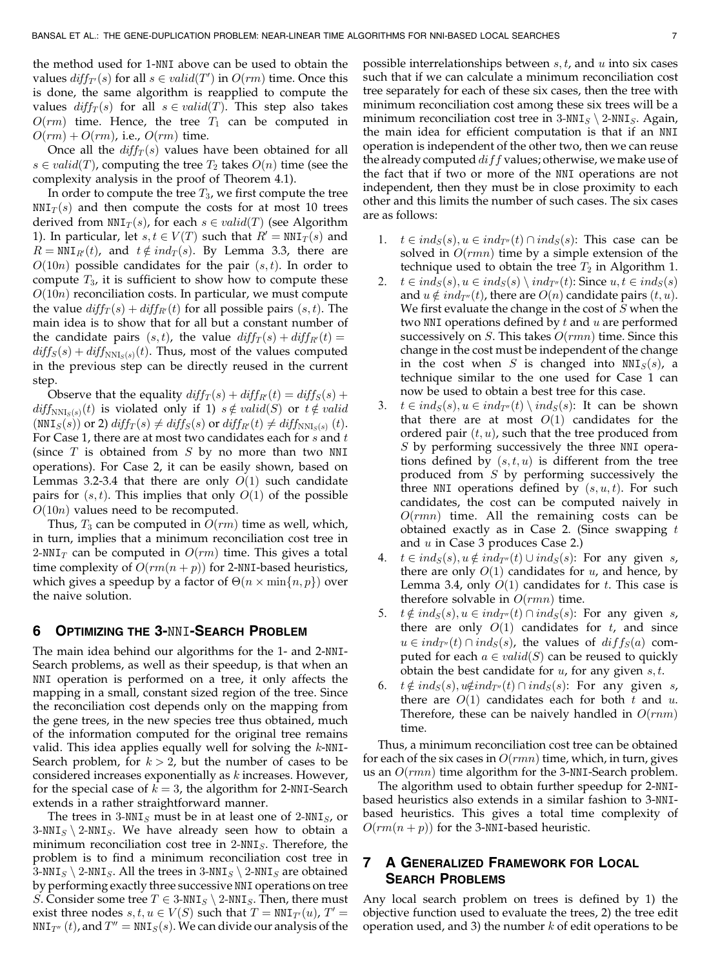the method used for 1-NNI above can be used to obtain the values  $\textit{diff}_{T'}(s)$  for all  $s \in \textit{valid}(T')$  in  $O(rm)$  time. Once this is done, the same algorithm is reapplied to compute the values  $diff_T(s)$  for all  $s \in valid(T)$ . This step also takes  $O(rm)$  time. Hence, the tree  $T_1$  can be computed in  $O(rm) + O(rm)$ , i.e.,  $O(rm)$  time.

Once all the  $diff_T(s)$  values have been obtained for all  $s \in valid(T)$ , computing the tree  $T_2$  takes  $O(n)$  time (see the complexity analysis in the proof of Theorem 4.1).

In order to compute the tree  $T_3$ , we first compute the tree  $NNI<sub>T</sub>(s)$  and then compute the costs for at most 10 trees derived from  $NNI<sub>T</sub>(s)$ , for each  $s \in valid(T)$  (see Algorithm 1). In particular, let  $s, t \in V(T)$  such that  $R' = \text{NNI}_{T}(s)$  and  $R = \text{NNI}_{R}(t)$ , and  $t \notin ind_T(s)$ . By Lemma 3.3, there are  $O(10n)$  possible candidates for the pair  $(s, t)$ . In order to compute  $T_3$ , it is sufficient to show how to compute these  $O(10n)$  reconciliation costs. In particular, we must compute the value  $diff_T(s) + diff_{R'}(t)$  for all possible pairs  $(s, t)$ . The main idea is to show that for all but a constant number of the candidate pairs  $(s, t)$ , the value  $diff_T(s) + diff_{R}(t) =$  $diff_S(s) + diff_{NNI_S(s)}(t)$ . Thus, most of the values computed in the previous step can be directly reused in the current step.

Observe that the equality  $diff_T(s) + diff_{R}(t) = diff_S(s) +$  $diff_{NNI_{S}(s)}(t)$  is violated only if 1)  $s \notin valid(S)$  or  $t \notin valid$  $(NNI<sub>S</sub>(s))$  or 2)  $diff<sub>T</sub>(s) \neq diff<sub>S</sub>(s)$  or  $diff<sub>R'</sub>(t) \neq diff<sub>NNI<sub>S</sub>(s)</sub>(t)$ . For Case 1, there are at most two candidates each for  $s$  and  $t$ (since  $T$  is obtained from  $S$  by no more than two NNI operations). For Case 2, it can be easily shown, based on Lemmas 3.2-3.4 that there are only  $O(1)$  such candidate pairs for  $(s, t)$ . This implies that only  $O(1)$  of the possible  $O(10n)$  values need to be recomputed.

Thus,  $T_3$  can be computed in  $O(rm)$  time as well, which, in turn, implies that a minimum reconciliation cost tree in 2-NNI<sub>T</sub> can be computed in  $O(rm)$  time. This gives a total time complexity of  $O(rm(n + p))$  for 2-NNI-based heuristics, which gives a speedup by a factor of  $\Theta(n\times \min\{n, p\})$  over the naive solution.

# 6 OPTIMIZING THE 3-NNI-SEARCH PROBLEM

The main idea behind our algorithms for the 1- and 2-NNI-Search problems, as well as their speedup, is that when an NNI operation is performed on a tree, it only affects the mapping in a small, constant sized region of the tree. Since the reconciliation cost depends only on the mapping from the gene trees, in the new species tree thus obtained, much of the information computed for the original tree remains valid. This idea applies equally well for solving the  $k$ -NNI-Search problem, for  $k > 2$ , but the number of cases to be considered increases exponentially as k increases. However, for the special case of  $k = 3$ , the algorithm for 2-NNI-Search extends in a rather straightforward manner.

The trees in 3-NNI<sub>S</sub> must be in at least one of 2-NNI<sub>S</sub>, or  $3-NNI<sub>S</sub> \$  2-NNI<sub>S</sub>. We have already seen how to obtain a minimum reconciliation cost tree in  $2-NNI<sub>S</sub>$ . Therefore, the problem is to find a minimum reconciliation cost tree in 3-NNI<sub>S</sub>  $\sum$  2-NNI<sub>S</sub>. All the trees in 3-NNI<sub>S</sub>  $\sum$  2-NNI<sub>S</sub> are obtained by performing exactly three successive NNI operations on tree *S*. Consider some tree  $T \in 3{\text{-}NNI}_S \setminus 2{\text{-}NNI}_S$ . Then, there must exist three nodes  $s, t, u \in V(S)$  such that  $T = NNT_{T}(u)$ ,  $T' =$  $NNI_{T''}(t)$ , and  $T'' = NNI_{S}(s)$ . We can divide our analysis of the possible interrelationships between  $s, t$ , and  $u$  into six cases such that if we can calculate a minimum reconciliation cost tree separately for each of these six cases, then the tree with minimum reconciliation cost among these six trees will be a minimum reconciliation cost tree in  $3-NNI<sub>S</sub> \ \ 2-NNI<sub>S</sub>$ . Again, the main idea for efficient computation is that if an NNI operation is independent of the other two, then we can reuse the already computed  $diff$  values; otherwise, we make use of the fact that if two or more of the NNI operations are not independent, then they must be in close proximity to each other and this limits the number of such cases. The six cases are as follows:

- 1.  $t \in ind_S(s), u \in ind_{T''}(t) \cap ind_S(s)$ : This case can be solved in  $O(rmn)$  time by a simple extension of the technique used to obtain the tree  $T_2$  in Algorithm 1.
- 2.  $t \in ind_S(s), u \in ind_S(s) \setminus ind_{T''}(t)$ : Since  $u, t \in ind_S(s)$ and  $u \notin ind_{T''}(t)$ , there are  $O(n)$  candidate pairs  $(t, u)$ . We first evaluate the change in the cost of  $S$  when the two NNI operations defined by  $t$  and  $u$  are performed successively on *S*. This takes  $O(rmn)$  time. Since this change in the cost must be independent of the change in the cost when S is changed into  $NNI_S(s)$ , a technique similar to the one used for Case 1 can now be used to obtain a best tree for this case.
- 3.  $t \in ind_S(s), u \in ind_{T''}(t) \setminus ind_S(s)$ : It can be shown that there are at most  $O(1)$  candidates for the ordered pair  $(t, u)$ , such that the tree produced from S by performing successively the three NNI operations defined by  $(s, t, u)$  is different from the tree produced from S by performing successively the three NNI operations defined by  $(s, u, t)$ . For such candidates, the cost can be computed naively in  $O(rmn)$  time. All the remaining costs can be obtained exactly as in Case 2. (Since swapping  $t$ and  $u$  in Case 3 produces Case 2.)
- $t \in ind_S(s), u \notin ind_{T''}(t) \cup ind_S(s)$ : For any given s, there are only  $O(1)$  candidates for  $u$ , and hence, by Lemma 3.4, only  $O(1)$  candidates for t. This case is therefore solvable in  $O(rmn)$  time.
- 5.  $t \notin ind_S(s), u \in ind_{T''}(t) \cap ind_S(s)$ : For any given s, there are only  $O(1)$  candidates for t, and since  $u \in ind_{T''}(t) \cap ind_S(s)$ , the values of  $diff_S(a)$  computed for each  $a \in valid(S)$  can be reused to quickly obtain the best candidate for  $u$ , for any given  $s, t$ .
- 6.  $t \notin ind_S(s)$ ,  $u \notin ind_{T''}(t) \cap ind_S(s)$ : For any given s, there are  $O(1)$  candidates each for both t and u. Therefore, these can be naively handled in  $O(rnm)$ time.

Thus, a minimum reconciliation cost tree can be obtained for each of the six cases in  $O(rmn)$  time, which, in turn, gives us an  $O(rmn)$  time algorithm for the 3-NNI-Search problem.

The algorithm used to obtain further speedup for 2-NNIbased heuristics also extends in a similar fashion to 3-NNIbased heuristics. This gives a total time complexity of  $O(rm(n+p))$  for the 3-NNI-based heuristic.

# 7 AGENERALIZED FRAMEWORK FOR LOCAL SEARCH PROBLEMS

Any local search problem on trees is defined by 1) the objective function used to evaluate the trees, 2) the tree edit operation used, and 3) the number  $k$  of edit operations to be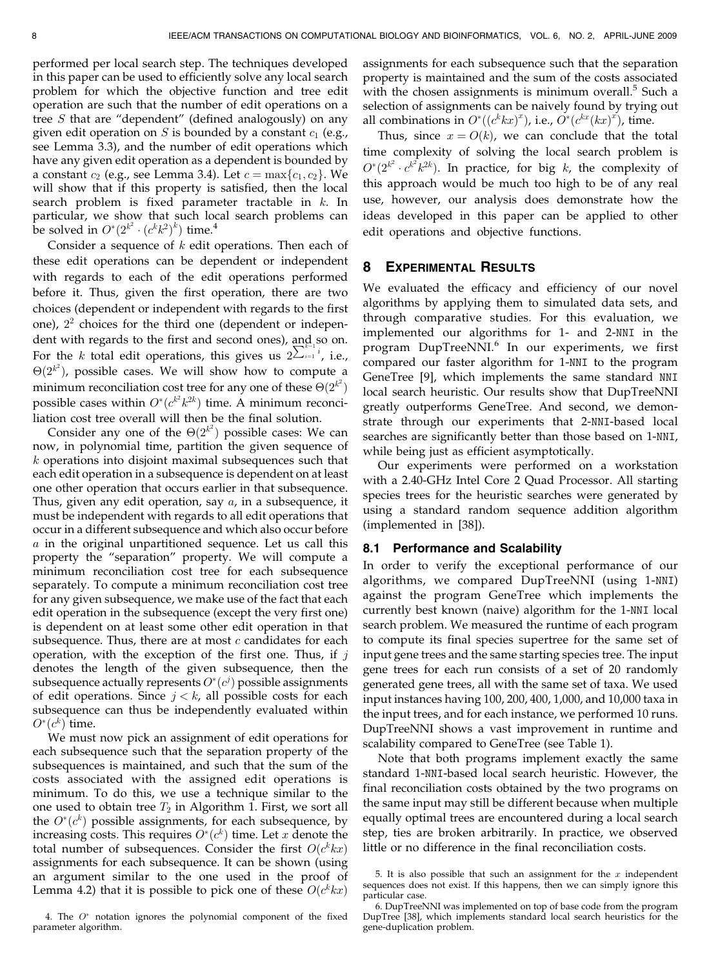performed per local search step. The techniques developed in this paper can be used to efficiently solve any local search problem for which the objective function and tree edit operation are such that the number of edit operations on a tree S that are "dependent" (defined analogously) on any given edit operation on S is bounded by a constant  $c_1$  (e.g., see Lemma 3.3), and the number of edit operations which have any given edit operation as a dependent is bounded by a constant  $c_2$  (e.g., see Lemma 3.4). Let  $c = \max\{c_1, c_2\}$ . We will show that if this property is satisfied, then the local search problem is fixed parameter tractable in  $k$ . In particular, we show that such local search problems can be solved in  $O^*(2^{k^2} \cdot (c^k k^2)^k)$  time.<sup>4</sup>

Consider a sequence of  $k$  edit operations. Then each of these edit operations can be dependent or independent with regards to each of the edit operations performed before it. Thus, given the first operation, there are two choices (dependent or independent with regards to the first one),  $2<sup>2</sup>$  choices for the third one (dependent or independent with regards to the first and second ones), and so on. For the k total edit operations, this gives us  $2\sum_{i=1}^i i$ , i.e.,  $\Theta(2^{k^2})$ , possible cases. We will show how to compute a minimum reconciliation cost tree for any one of these  $\Theta(2^{k^2})$ possible cases within  $O^*(c^{k^2}k^{2k})$  time. A minimum reconciliation cost tree overall will then be the final solution.

Consider any one of the  $\Theta(2^{k^2})$  possible cases: We can now, in polynomial time, partition the given sequence of k operations into disjoint maximal subsequences such that each edit operation in a subsequence is dependent on at least one other operation that occurs earlier in that subsequence. Thus, given any edit operation, say  $a$ , in a subsequence, it must be independent with regards to all edit operations that occur in a different subsequence and which also occur before a in the original unpartitioned sequence. Let us call this property the "separation" property. We will compute a minimum reconciliation cost tree for each subsequence separately. To compute a minimum reconciliation cost tree for any given subsequence, we make use of the fact that each edit operation in the subsequence (except the very first one) is dependent on at least some other edit operation in that subsequence. Thus, there are at most  $c$  candidates for each operation, with the exception of the first one. Thus, if  $j$ denotes the length of the given subsequence, then the subsequence actually represents  $O^*(c^j)$  possible assignments of edit operations. Since  $j < k$ , all possible costs for each subsequence can thus be independently evaluated within  $O^*(c^k)$  time.

We must now pick an assignment of edit operations for each subsequence such that the separation property of the subsequences is maintained, and such that the sum of the costs associated with the assigned edit operations is minimum. To do this, we use a technique similar to the one used to obtain tree  $T_2$  in Algorithm 1. First, we sort all the  $O^*(c^k)$  possible assignments, for each subsequence, by increasing costs. This requires  $O^*(c^k)$  time. Let x denote the total number of subsequences. Consider the first  $O(c^k kx)$ assignments for each subsequence. It can be shown (using an argument similar to the one used in the proof of Lemma 4.2) that it is possible to pick one of these  $O(c^k kx)$ 

assignments for each subsequence such that the separation property is maintained and the sum of the costs associated with the chosen assignments is minimum overall. $5$  Such a selection of assignments can be naively found by trying out all combinations in  $O^*((c^k kx)^x)$ , i.e.,  $O^*(c^{kx}(kx)^x)$ , time.

Thus, since  $x = O(k)$ , we can conclude that the total time complexity of solving the local search problem is  $O^*(2^{k^2} \cdot c^{k^2} k^{2k})$ . In practice, for big k, the complexity of this approach would be much too high to be of any real use, however, our analysis does demonstrate how the ideas developed in this paper can be applied to other edit operations and objective functions.

#### 8 EXPERIMENTAL RESULTS

We evaluated the efficacy and efficiency of our novel algorithms by applying them to simulated data sets, and through comparative studies. For this evaluation, we implemented our algorithms for 1- and 2-NNI in the program DupTreeNNI.<sup>6</sup> In our experiments, we first compared our faster algorithm for 1-NNI to the program GeneTree [9], which implements the same standard NNI local search heuristic. Our results show that DupTreeNNI greatly outperforms GeneTree. And second, we demonstrate through our experiments that 2-NNI-based local searches are significantly better than those based on 1-NNI, while being just as efficient asymptotically.

Our experiments were performed on a workstation with a 2.40-GHz Intel Core 2 Quad Processor. All starting species trees for the heuristic searches were generated by using a standard random sequence addition algorithm (implemented in [38]).

#### 8.1 Performance and Scalability

In order to verify the exceptional performance of our algorithms, we compared DupTreeNNI (using 1-NNI) against the program GeneTree which implements the currently best known (naive) algorithm for the 1-NNI local search problem. We measured the runtime of each program to compute its final species supertree for the same set of input gene trees and the same starting species tree. The input gene trees for each run consists of a set of 20 randomly generated gene trees, all with the same set of taxa. We used input instances having 100, 200, 400, 1,000, and 10,000 taxa in the input trees, and for each instance, we performed 10 runs. DupTreeNNI shows a vast improvement in runtime and scalability compared to GeneTree (see Table 1).

Note that both programs implement exactly the same standard 1-NNI-based local search heuristic. However, the final reconciliation costs obtained by the two programs on the same input may still be different because when multiple equally optimal trees are encountered during a local search step, ties are broken arbitrarily. In practice, we observed little or no difference in the final reconciliation costs.

<sup>4.</sup> The  $O^*$  notation ignores the polynomial component of the fixed parameter algorithm.

<sup>5.</sup> It is also possible that such an assignment for the  $x$  independent sequences does not exist. If this happens, then we can simply ignore this particular case.

<sup>6.</sup> DupTreeNNI was implemented on top of base code from the program DupTree [38], which implements standard local search heuristics for the gene-duplication problem.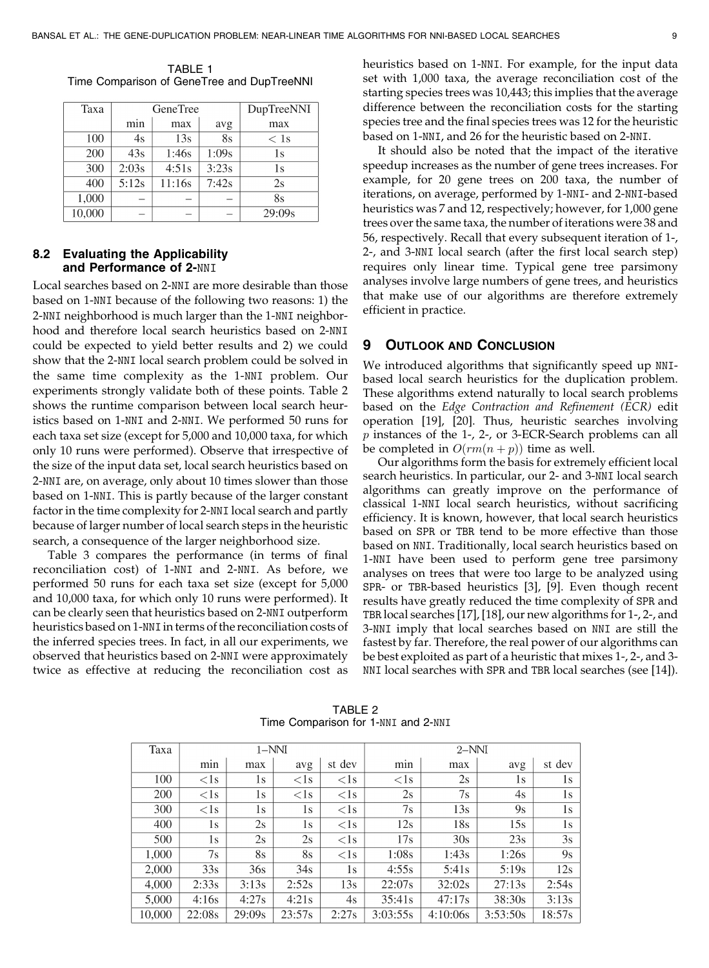Taxa **GeneTree DupTreeNNI** min max avg max 100  $4s$  $13s$  $8s$  $< 1s$  $\overline{200}$  $\overline{43s}$  $1:46s$ 1:09s  $1s$ 300  $2:03s$  $4:51s$  $3:23s$  $1s$  $400$  $5:12s$ 11:16s  $7:42s$  $2s$  $\overline{8s}$ 1,000  $\overline{a}$ 10,000  $29:09s$ L.  $\overline{a}$  $\overline{\phantom{0}}$ 

TABLE 1 Time Comparison of GeneTree and DupTreeNNI

### 8.2 Evaluating the Applicability and Performance of 2-NNI

Local searches based on 2-NNI are more desirable than those based on 1-NNI because of the following two reasons: 1) the 2-NNI neighborhood is much larger than the 1-NNI neighborhood and therefore local search heuristics based on 2-NNI could be expected to yield better results and 2) we could show that the 2-NNI local search problem could be solved in the same time complexity as the 1-NNI problem. Our experiments strongly validate both of these points. Table 2 shows the runtime comparison between local search heuristics based on 1-NNI and 2-NNI. We performed 50 runs for each taxa set size (except for 5,000 and 10,000 taxa, for which only 10 runs were performed). Observe that irrespective of the size of the input data set, local search heuristics based on 2-NNI are, on average, only about 10 times slower than those based on 1-NNI. This is partly because of the larger constant factor in the time complexity for 2-NNI local search and partly because of larger number of local search steps in the heuristic search, a consequence of the larger neighborhood size.

Table 3 compares the performance (in terms of final reconciliation cost) of 1-NNI and 2-NNI. As before, we performed 50 runs for each taxa set size (except for 5,000 and 10,000 taxa, for which only 10 runs were performed). It can be clearly seen that heuristics based on 2-NNI outperform heuristics based on 1-NNI in terms of the reconciliation costs of the inferred species trees. In fact, in all our experiments, we observed that heuristics based on 2-NNI were approximately twice as effective at reducing the reconciliation cost as heuristics based on 1-NNI. For example, for the input data set with 1,000 taxa, the average reconciliation cost of the starting species trees was 10,443; this implies that the average difference between the reconciliation costs for the starting species tree and the final species trees was 12 for the heuristic based on 1-NNI, and 26 for the heuristic based on 2-NNI.

It should also be noted that the impact of the iterative speedup increases as the number of gene trees increases. For example, for 20 gene trees on 200 taxa, the number of iterations, on average, performed by 1-NNI- and 2-NNI-based heuristics was 7 and 12, respectively; however, for 1,000 gene trees over the same taxa, the number of iterations were 38 and 56, respectively. Recall that every subsequent iteration of 1-, 2-, and 3-NNI local search (after the first local search step) requires only linear time. Typical gene tree parsimony analyses involve large numbers of gene trees, and heuristics that make use of our algorithms are therefore extremely efficient in practice.

# 9 OUTLOOK AND CONCLUSION

We introduced algorithms that significantly speed up NNIbased local search heuristics for the duplication problem. These algorithms extend naturally to local search problems based on the Edge Contraction and Refinement (ECR) edit operation [19], [20]. Thus, heuristic searches involving p instances of the 1-, 2-, or 3-ECR-Search problems can all be completed in  $O(rm(n + p))$  time as well.

Our algorithms form the basis for extremely efficient local search heuristics. In particular, our 2- and 3-NNI local search algorithms can greatly improve on the performance of classical 1-NNI local search heuristics, without sacrificing efficiency. It is known, however, that local search heuristics based on SPR or TBR tend to be more effective than those based on NNI. Traditionally, local search heuristics based on 1-NNI have been used to perform gene tree parsimony analyses on trees that were too large to be analyzed using SPR- or TBR-based heuristics [3], [9]. Even though recent results have greatly reduced the time complexity of SPR and TBR local searches [17], [18], our new algorithms for 1-, 2-, and 3-NNI imply that local searches based on NNI are still the fastest by far. Therefore, the real power of our algorithms can be best exploited as part of a heuristic that mixes 1-, 2-, and 3- NNI local searches with SPR and TBR local searches (see [14]).

| Taxa   | $1-NNI$ |        |        |              | $2-NNI$      |          |          |        |
|--------|---------|--------|--------|--------------|--------------|----------|----------|--------|
|        | min     | max    | avg    | st dev       | min          | max      | avg      | st dev |
| 100    | < 1s    | 1s     | $<$ 1s | $\langle$ 1s | $\langle$ 1s | 2s       | 1s       | 1s     |
| 200    | $<$ 1s  | 1s     | $<$ 1s | $\langle$ 1s | 2s           | 7s       | 4s       | 1s     |
| 300    | $<$ 1s  | 1s     | 1s     | $\langle$ 1s | 7s           | 13s      | 9s       | 1s     |
| 400    | 1s      | 2s     | 1s     | $\langle$ 1s | 12s          | 18s      | 15s      | 1s     |
| 500    | 1s      | 2s     | 2s     | $\langle$ 1s | 17s          | 30s      | 23s      | 3s     |
| 1,000  | 7s      | 8s     | 8s     | $\langle$ 1s | 1:08s        | 1:43s    | 1:26s    | 9s     |
| 2,000  | 33s     | 36s    | 34s    | 1s           | 4:55s        | 5:41s    | 5:19s    | 12s    |
| 4,000  | 2:33s   | 3:13s  | 2:52s  | 13s          | 22:07s       | 32:02s   | 27:13s   | 2:54s  |
| 5,000  | 4:16s   | 4:27s  | 4:21s  | 4s           | 35:41s       | 47:17s   | 38:30s   | 3:13s  |
| 10,000 | 22:08s  | 29:09s | 23:57s | 2:27s        | 3:03:55s     | 4:10:06s | 3:53:50s | 18:57s |

TABLE 2 Time Comparison for 1-NNI and 2-NNI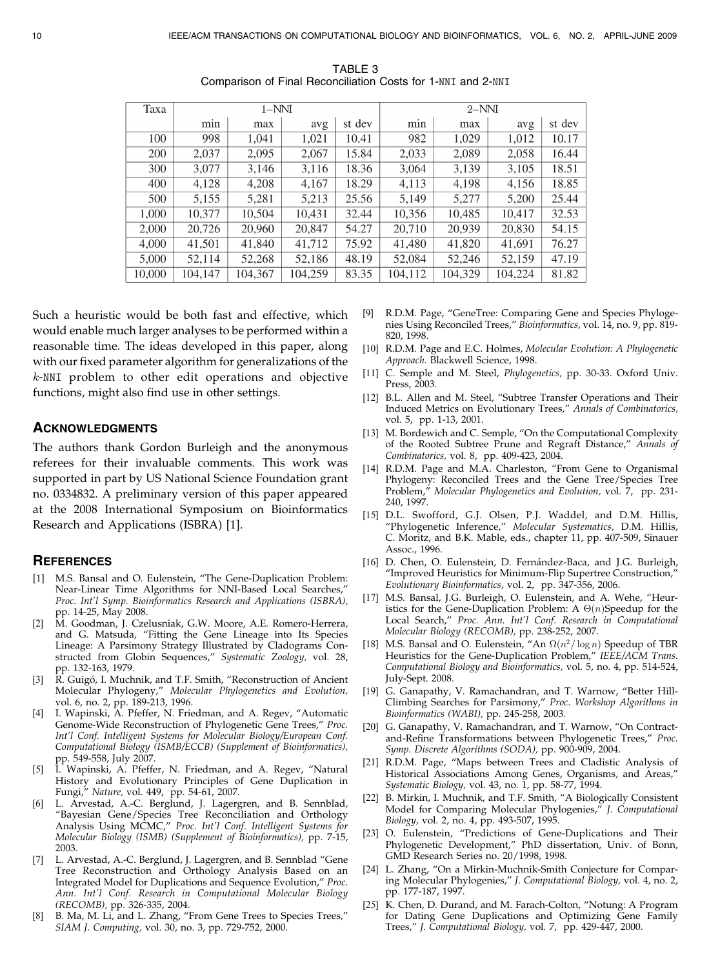| Taxa   |         | $1-NNI$ |         |        | $2-NNI$ |         |         |        |
|--------|---------|---------|---------|--------|---------|---------|---------|--------|
|        | min     | max     | avg     | st dev | min     | max     | avg     | st dev |
| 100    | 998     | 1.041   | 1.021   | 10.41  | 982     | 1,029   | 1,012   | 10.17  |
| 200    | 2,037   | 2,095   | 2,067   | 15.84  | 2.033   | 2,089   | 2,058   | 16.44  |
| 300    | 3,077   | 3,146   | 3,116   | 18.36  | 3,064   | 3,139   | 3,105   | 18.51  |
| 400    | 4.128   | 4,208   | 4.167   | 18.29  | 4,113   | 4.198   | 4,156   | 18.85  |
| 500    | 5,155   | 5,281   | 5,213   | 25.56  | 5,149   | 5,277   | 5,200   | 25.44  |
| 1.000  | 10,377  | 10.504  | 10,431  | 32.44  | 10,356  | 10,485  | 10.417  | 32.53  |
| 2.000  | 20,726  | 20,960  | 20,847  | 54.27  | 20,710  | 20.939  | 20,830  | 54.15  |
| 4.000  | 41,501  | 41,840  | 41,712  | 75.92  | 41,480  | 41,820  | 41.691  | 76.27  |
| 5,000  | 52,114  | 52.268  | 52.186  | 48.19  | 52,084  | 52,246  | 52,159  | 47.19  |
| 10,000 | 104,147 | 104.367 | 104,259 | 83.35  | 104,112 | 104,329 | 104,224 | 81.82  |

TABLE 3 Comparison of Final Reconciliation Costs for 1-NNI and 2-NNI

Such a heuristic would be both fast and effective, which would enable much larger analyses to be performed within a reasonable time. The ideas developed in this paper, along with our fixed parameter algorithm for generalizations of the k-NNI problem to other edit operations and objective functions, might also find use in other settings.

#### ACKNOWLEDGMENTS

The authors thank Gordon Burleigh and the anonymous referees for their invaluable comments. This work was supported in part by US National Science Foundation grant no. 0334832. A preliminary version of this paper appeared at the 2008 International Symposium on Bioinformatics Research and Applications (ISBRA) [1].

#### **REFERENCES**

- [1] M.S. Bansal and O. Eulenstein, "The Gene-Duplication Problem: Near-Linear Time Algorithms for NNI-Based Local Searches," Proc. Int'l Symp. Bioinformatics Research and Applications (ISBRA), pp. 14-25, May 2008.
- [2] M. Goodman, J. Czelusniak, G.W. Moore, A.E. Romero-Herrera, and G. Matsuda, "Fitting the Gene Lineage into Its Species Lineage: A Parsimony Strategy Illustrated by Cladograms Constructed from Globin Sequences," Systematic Zoology, vol. 28, pp. 132-163, 1979.
- [3] R. Guigó, I. Muchnik, and T.F. Smith, "Reconstruction of Ancient Molecular Phylogeny," Molecular Phylogenetics and Evolution, vol. 6, no. 2, pp. 189-213, 1996.
- [4] I. Wapinski, A. Pfeffer, N. Friedman, and A. Regev, "Automatic Genome-Wide Reconstruction of Phylogenetic Gene Trees," Proc. Int'l Conf. Intelligent Systems for Molecular Biology/European Conf. Computational Biology (ISMB/ECCB) (Supplement of Bioinformatics), pp. 549-558, July 2007.
- [5] I. Wapinski, A. Pfeffer, N. Friedman, and A. Regev, "Natural History and Evolutionary Principles of Gene Duplication in Fungi," Nature, vol. 449, pp. 54-61, 2007.
- [6] L. Arvestad, A.-C. Berglund, J. Lagergren, and B. Sennblad, "Bayesian Gene/Species Tree Reconciliation and Orthology Analysis Using MCMC," Proc. Int'l Conf. Intelligent Systems for Molecular Biology (ISMB) (Supplement of Bioinformatics), pp. 7-15, 2003.
- [7] L. Arvestad, A.-C. Berglund, J. Lagergren, and B. Sennblad "Gene Tree Reconstruction and Orthology Analysis Based on an Integrated Model for Duplications and Sequence Evolution," Proc. Ann. Int'l Conf. Research in Computational Molecular Biology (RECOMB), pp. 326-335, 2004.
- [8] B. Ma, M. Li, and L. Zhang, "From Gene Trees to Species Trees," SIAM J. Computing, vol. 30, no. 3, pp. 729-752, 2000.
- [9] R.D.M. Page, "GeneTree: Comparing Gene and Species Phylogenies Using Reconciled Trees," Bioinformatics, vol. 14, no. 9, pp. 819- 820, 1998.
- [10] R.D.M. Page and E.C. Holmes, Molecular Evolution: A Phylogenetic Approach. Blackwell Science, 1998.
- [11] C. Semple and M. Steel, *Phylogenetics*, pp. 30-33. Oxford Univ. Press, 2003.
- [12] B.L. Allen and M. Steel, "Subtree Transfer Operations and Their Induced Metrics on Evolutionary Trees," Annals of Combinatorics, vol. 5, pp. 1-13, 2001.
- [13] M. Bordewich and C. Semple, "On the Computational Complexity of the Rooted Subtree Prune and Regraft Distance," Annals of Combinatorics, vol. 8, pp. 409-423, 2004.
- [14] R.D.M. Page and M.A. Charleston, "From Gene to Organismal Phylogeny: Reconciled Trees and the Gene Tree/Species Tree Problem," Molecular Phylogenetics and Evolution, vol. 7, pp. 231-240, 1997.
- [15] D.L. Swofford, G.J. Olsen, P.J. Waddel, and D.M. Hillis, "Phylogenetic Inference," Molecular Systematics, D.M. Hillis, C. Moritz, and B.K. Mable, eds., chapter 11, pp. 407-509, Sinauer Assoc., 1996.
- [16] D. Chen, O. Eulenstein, D. Fernández-Baca, and J.G. Burleigh, "Improved Heuristics for Minimum-Flip Supertree Construction," Evolutionary Bioinformatics, vol. 2, pp. 347-356, 2006.
- [17] M.S. Bansal, J.G. Burleigh, O. Eulenstein, and A. Wehe, "Heuristics for the Gene-Duplication Problem: A  $\Theta(n)$ Speedup for the Local Search," Proc. Ann. Int'l Conf. Research in Computational Molecular Biology (RECOMB), pp. 238-252, 2007.
- [18] M.S. Bansal and O. Eulenstein, "An  $\Omega(n^2/\log n)$  Speedup of TBR Heuristics for the Gene-Duplication Problem," IEEE/ACM Trans. Computational Biology and Bioinformatics, vol. 5, no. 4, pp. 514-524, July-Sept. 2008.
- [19] G. Ganapathy, V. Ramachandran, and T. Warnow, "Better Hill-Climbing Searches for Parsimony," Proc. Workshop Algorithms in Bioinformatics (WABI), pp. 245-258, 2003.
- [20] G. Ganapathy, V. Ramachandran, and T. Warnow, "On Contractand-Refine Transformations between Phylogenetic Trees," Proc. Symp. Discrete Algorithms (SODA), pp. 900-909, 2004.
- [21] R.D.M. Page, "Maps between Trees and Cladistic Analysis of Historical Associations Among Genes, Organisms, and Areas," Systematic Biology, vol. 43, no. 1, pp. 58-77, 1994.
- [22] B. Mirkin, I. Muchnik, and T.F. Smith, "A Biologically Consistent Model for Comparing Molecular Phylogenies," J. Computational Biology, vol. 2, no. 4, pp. 493-507, 1995.
- [23] O. Eulenstein, "Predictions of Gene-Duplications and Their Phylogenetic Development," PhD dissertation, Univ. of Bonn, GMD Research Series no. 20/1998, 1998.
- [24] L. Zhang, "On a Mirkin-Muchnik-Smith Conjecture for Comparing Molecular Phylogenies," J. Computational Biology, vol. 4, no. 2, pp. 177-187, 1997.
- [25] K. Chen, D. Durand, and M. Farach-Colton, "Notung: A Program for Dating Gene Duplications and Optimizing Gene Family Trees," J. Computational Biology, vol. 7, pp. 429-447, 2000.